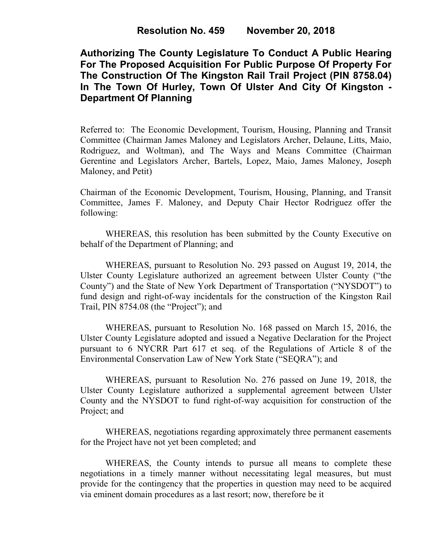# **Authorizing The County Legislature To Conduct A Public Hearing For The Proposed Acquisition For Public Purpose Of Property For The Construction Of The Kingston Rail Trail Project (PIN 8758.04) In The Town Of Hurley, Town Of Ulster And City Of Kingston - Department Of Planning**

Referred to: The Economic Development, Tourism, Housing, Planning and Transit Committee (Chairman James Maloney and Legislators Archer, Delaune, Litts, Maio, Rodriguez, and Woltman), and The Ways and Means Committee (Chairman Gerentine and Legislators Archer, Bartels, Lopez, Maio, James Maloney, Joseph Maloney, and Petit)

Chairman of the Economic Development, Tourism, Housing, Planning, and Transit Committee, James F. Maloney, and Deputy Chair Hector Rodriguez offer the following:

WHEREAS, this resolution has been submitted by the County Executive on behalf of the Department of Planning; and

WHEREAS, pursuant to Resolution No. 293 passed on August 19, 2014, the Ulster County Legislature authorized an agreement between Ulster County ("the County") and the State of New York Department of Transportation ("NYSDOT") to fund design and right-of-way incidentals for the construction of the Kingston Rail Trail, PIN 8754.08 (the "Project"); and

WHEREAS, pursuant to Resolution No. 168 passed on March 15, 2016, the Ulster County Legislature adopted and issued a Negative Declaration for the Project pursuant to 6 NYCRR Part 617 et seq. of the Regulations of Article 8 of the Environmental Conservation Law of New York State ("SEQRA"); and

WHEREAS, pursuant to Resolution No. 276 passed on June 19, 2018, the Ulster County Legislature authorized a supplemental agreement between Ulster County and the NYSDOT to fund right-of-way acquisition for construction of the Project; and

WHEREAS, negotiations regarding approximately three permanent easements for the Project have not yet been completed; and

WHEREAS, the County intends to pursue all means to complete these negotiations in a timely manner without necessitating legal measures, but must provide for the contingency that the properties in question may need to be acquired via eminent domain procedures as a last resort; now, therefore be it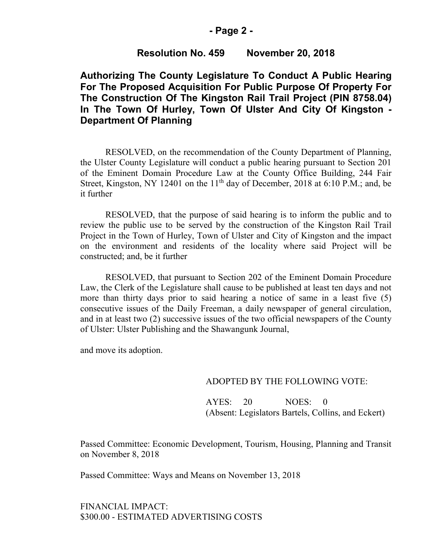### **- Page 2 -**

### **Resolution No. 459 November 20, 2018**

# **Authorizing The County Legislature To Conduct A Public Hearing For The Proposed Acquisition For Public Purpose Of Property For The Construction Of The Kingston Rail Trail Project (PIN 8758.04) In The Town Of Hurley, Town Of Ulster And City Of Kingston - Department Of Planning**

RESOLVED, on the recommendation of the County Department of Planning, the Ulster County Legislature will conduct a public hearing pursuant to Section 201 of the Eminent Domain Procedure Law at the County Office Building, 244 Fair Street, Kingston, NY 12401 on the  $11<sup>th</sup>$  day of December, 2018 at 6:10 P.M.; and, be it further

RESOLVED, that the purpose of said hearing is to inform the public and to review the public use to be served by the construction of the Kingston Rail Trail Project in the Town of Hurley, Town of Ulster and City of Kingston and the impact on the environment and residents of the locality where said Project will be constructed; and, be it further

RESOLVED, that pursuant to Section 202 of the Eminent Domain Procedure Law, the Clerk of the Legislature shall cause to be published at least ten days and not more than thirty days prior to said hearing a notice of same in a least five (5) consecutive issues of the Daily Freeman, a daily newspaper of general circulation, and in at least two (2) successive issues of the two official newspapers of the County of Ulster: Ulster Publishing and the Shawangunk Journal,

and move its adoption.

## ADOPTED BY THE FOLLOWING VOTE:

AYES: 20 NOES: 0 (Absent: Legislators Bartels, Collins, and Eckert)

Passed Committee: Economic Development, Tourism, Housing, Planning and Transit on November 8, 2018

Passed Committee: Ways and Means on November 13, 2018

# FINANCIAL IMPACT: \$300.00 - ESTIMATED ADVERTISING COSTS